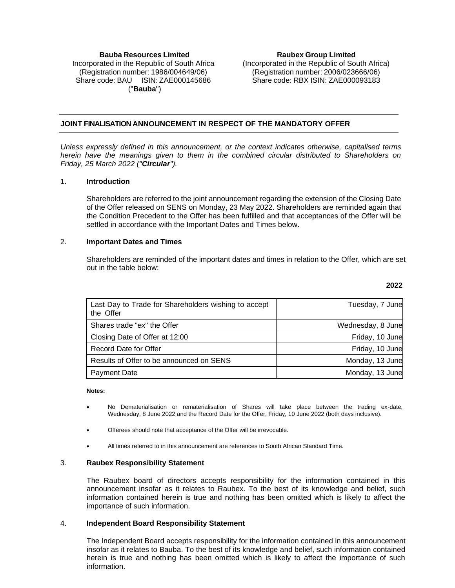# **Bauba Resources Limited** Incorporated in the Republic of South Africa (Registration number: 1986/004649/06) Share code: BAU ISIN: ZAE000145686 ("**Bauba**")

**Raubex Group Limited** (Incorporated in the Republic of South Africa) (Registration number: 2006/023666/06) Share code: RBX ISIN: ZAE000093183

# **JOINT FINALISATION ANNOUNCEMENT IN RESPECT OF THE MANDATORY OFFER**

*Unless expressly defined in this announcement, or the context indicates otherwise, capitalised terms herein have the meanings given to them in the combined circular distributed to Shareholders on Friday, 25 March 2022 ("Circular").*

## 1. **Introduction**

Shareholders are referred to the joint announcement regarding the extension of the Closing Date of the Offer released on SENS on Monday, 23 May 2022. Shareholders are reminded again that the Condition Precedent to the Offer has been fulfilled and that acceptances of the Offer will be settled in accordance with the Important Dates and Times below.

## 2. **Important Dates and Times**

Shareholders are reminded of the important dates and times in relation to the Offer, which are set out in the table below:

| Last Day to Trade for Shareholders wishing to accept<br>the Offer | Tuesday, 7 June   |
|-------------------------------------------------------------------|-------------------|
| Shares trade "ex" the Offer                                       | Wednesday, 8 June |
| Closing Date of Offer at 12:00                                    | Friday, 10 June   |
| Record Date for Offer                                             | Friday, 10 June   |
| Results of Offer to be announced on SENS                          | Monday, 13 June   |
| <b>Payment Date</b>                                               | Monday, 13 June   |

#### **Notes:**

- No Dematerialisation or rematerialisation of Shares will take place between the trading ex-date, Wednesday, 8 June 2022 and the Record Date for the Offer, Friday, 10 June 2022 (both days inclusive).
- Offerees should note that acceptance of the Offer will be irrevocable.
- All times referred to in this announcement are references to South African Standard Time.

#### 3. **Raubex Responsibility Statement**

The Raubex board of directors accepts responsibility for the information contained in this announcement insofar as it relates to Raubex. To the best of its knowledge and belief, such information contained herein is true and nothing has been omitted which is likely to affect the importance of such information.

#### 4. **Independent Board Responsibility Statement**

The Independent Board accepts responsibility for the information contained in this announcement insofar as it relates to Bauba. To the best of its knowledge and belief, such information contained herein is true and nothing has been omitted which is likely to affect the importance of such information.